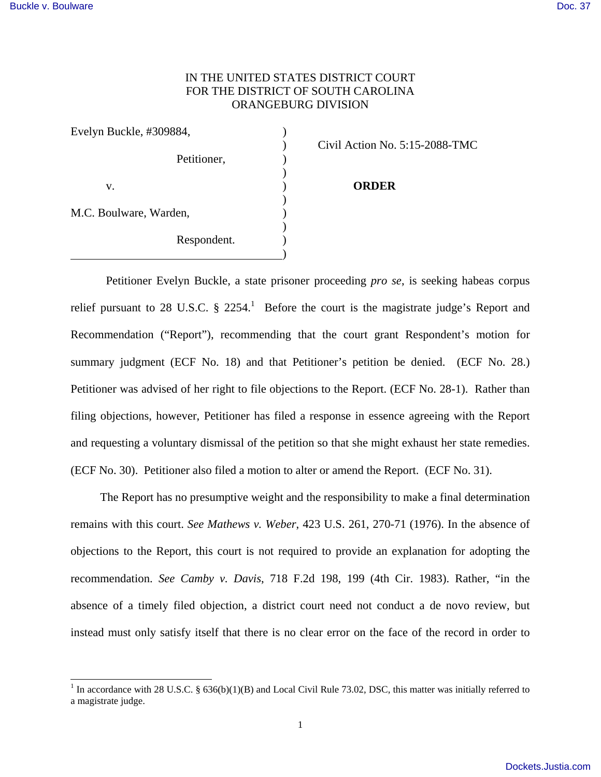$\overline{\phantom{a}}$ 

## IN THE UNITED STATES DISTRICT COURT FOR THE DISTRICT OF SOUTH CAROLINA ORANGEBURG DIVISION

| Evelyn Buckle, #309884, |             |  |
|-------------------------|-------------|--|
|                         |             |  |
|                         | Petitioner, |  |
|                         |             |  |
| V.                      |             |  |
|                         |             |  |
| M.C. Boulware, Warden,  |             |  |
|                         |             |  |
|                         | Respondent. |  |
|                         |             |  |

) Civil Action No. 5:15-2088-TMC

## **ORDER**

Petitioner Evelyn Buckle, a state prisoner proceeding *pro se*, is seeking habeas corpus relief pursuant to 28 U.S.C.  $\S$  2254.<sup>1</sup> Before the court is the magistrate judge's Report and Recommendation ("Report"), recommending that the court grant Respondent's motion for summary judgment (ECF No. 18) and that Petitioner's petition be denied. (ECF No. 28.) Petitioner was advised of her right to file objections to the Report. (ECF No. 28-1). Rather than filing objections, however, Petitioner has filed a response in essence agreeing with the Report and requesting a voluntary dismissal of the petition so that she might exhaust her state remedies. (ECF No. 30). Petitioner also filed a motion to alter or amend the Report. (ECF No. 31).

 The Report has no presumptive weight and the responsibility to make a final determination remains with this court. *See Mathews v. Weber*, 423 U.S. 261, 270-71 (1976). In the absence of objections to the Report, this court is not required to provide an explanation for adopting the recommendation. *See Camby v. Davis*, 718 F.2d 198, 199 (4th Cir. 1983). Rather, "in the absence of a timely filed objection, a district court need not conduct a de novo review, but instead must only satisfy itself that there is no clear error on the face of the record in order to

<sup>&</sup>lt;sup>1</sup> In accordance with 28 U.S.C. § 636(b)(1)(B) and Local Civil Rule 73.02, DSC, this matter was initially referred to a magistrate judge.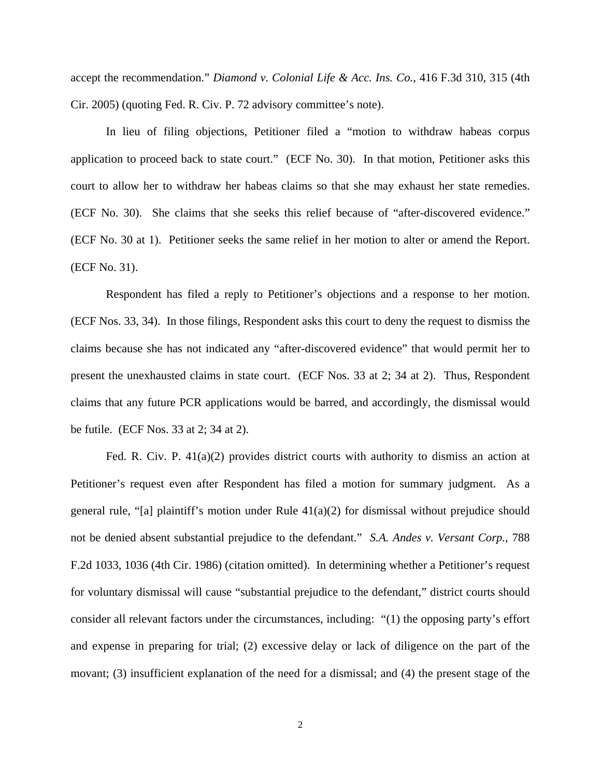accept the recommendation." *Diamond v. Colonial Life & Acc. Ins. Co.*, 416 F.3d 310, 315 (4th Cir. 2005) (quoting Fed. R. Civ. P. 72 advisory committee's note).

 In lieu of filing objections, Petitioner filed a "motion to withdraw habeas corpus application to proceed back to state court." (ECF No. 30). In that motion, Petitioner asks this court to allow her to withdraw her habeas claims so that she may exhaust her state remedies. (ECF No. 30). She claims that she seeks this relief because of "after-discovered evidence." (ECF No. 30 at 1). Petitioner seeks the same relief in her motion to alter or amend the Report. (ECF No. 31).

 Respondent has filed a reply to Petitioner's objections and a response to her motion. (ECF Nos. 33, 34). In those filings, Respondent asks this court to deny the request to dismiss the claims because she has not indicated any "after-discovered evidence" that would permit her to present the unexhausted claims in state court. (ECF Nos. 33 at 2; 34 at 2). Thus, Respondent claims that any future PCR applications would be barred, and accordingly, the dismissal would be futile. (ECF Nos. 33 at 2; 34 at 2).

 Fed. R. Civ. P. 41(a)(2) provides district courts with authority to dismiss an action at Petitioner's request even after Respondent has filed a motion for summary judgment. As a general rule, "[a] plaintiff's motion under Rule  $41(a)(2)$  for dismissal without prejudice should not be denied absent substantial prejudice to the defendant." *S.A. Andes v. Versant Corp.*, 788 F.2d 1033, 1036 (4th Cir. 1986) (citation omitted). In determining whether a Petitioner's request for voluntary dismissal will cause "substantial prejudice to the defendant," district courts should consider all relevant factors under the circumstances, including: "(1) the opposing party's effort and expense in preparing for trial; (2) excessive delay or lack of diligence on the part of the movant; (3) insufficient explanation of the need for a dismissal; and (4) the present stage of the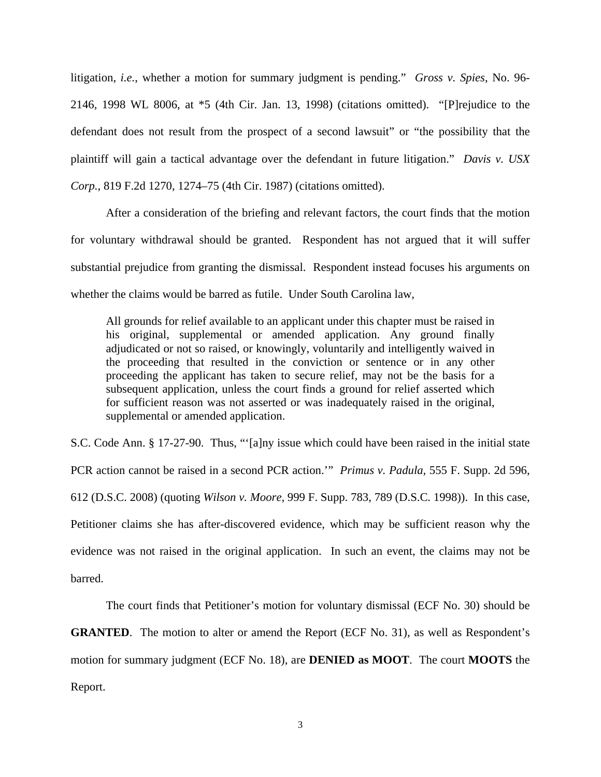litigation, *i.e.*, whether a motion for summary judgment is pending." *Gross v. Spies*, No. 96- 2146, 1998 WL 8006, at \*5 (4th Cir. Jan. 13, 1998) (citations omitted). "[P]rejudice to the defendant does not result from the prospect of a second lawsuit" or "the possibility that the plaintiff will gain a tactical advantage over the defendant in future litigation." *Davis v. USX Corp.*, 819 F.2d 1270, 1274–75 (4th Cir. 1987) (citations omitted).

 After a consideration of the briefing and relevant factors, the court finds that the motion for voluntary withdrawal should be granted. Respondent has not argued that it will suffer substantial prejudice from granting the dismissal. Respondent instead focuses his arguments on whether the claims would be barred as futile. Under South Carolina law,

All grounds for relief available to an applicant under this chapter must be raised in his original, supplemental or amended application. Any ground finally adjudicated or not so raised, or knowingly, voluntarily and intelligently waived in the proceeding that resulted in the conviction or sentence or in any other proceeding the applicant has taken to secure relief, may not be the basis for a subsequent application, unless the court finds a ground for relief asserted which for sufficient reason was not asserted or was inadequately raised in the original, supplemental or amended application.

S.C. Code Ann. § 17-27-90. Thus, "'[a]ny issue which could have been raised in the initial state PCR action cannot be raised in a second PCR action.'" *Primus v. Padula*, 555 F. Supp. 2d 596, 612 (D.S.C. 2008) (quoting *Wilson v. Moore,* 999 F. Supp. 783, 789 (D.S.C. 1998)). In this case, Petitioner claims she has after-discovered evidence, which may be sufficient reason why the evidence was not raised in the original application. In such an event, the claims may not be barred.

 The court finds that Petitioner's motion for voluntary dismissal (ECF No. 30) should be **GRANTED**. The motion to alter or amend the Report (ECF No. 31), as well as Respondent's motion for summary judgment (ECF No. 18), are **DENIED as MOOT**. The court **MOOTS** the Report.